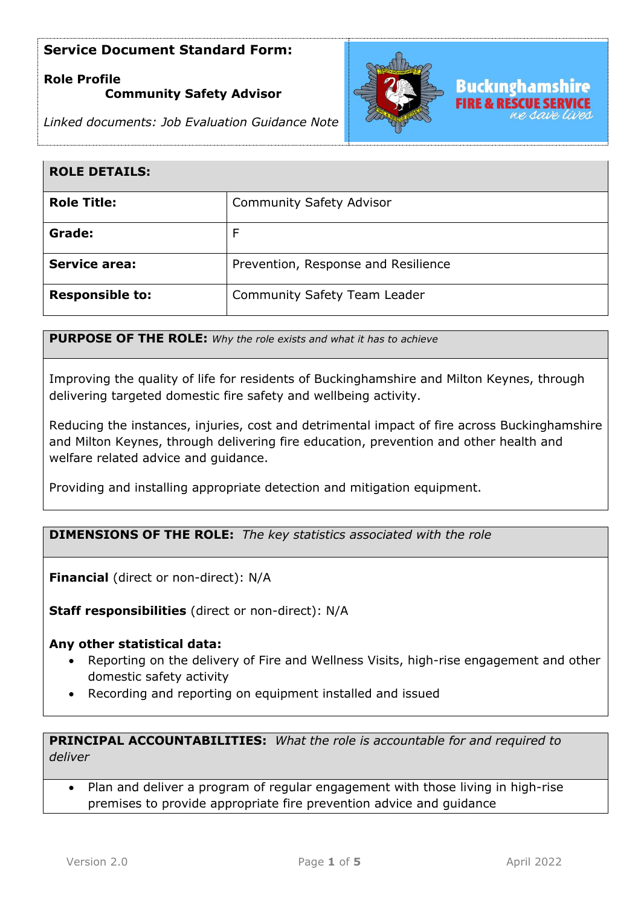# **Role Profile**

### **Community Safety Advisor**



*Linked documents: Job Evaluation Guidance Note*

| <b>ROLE DETAILS:</b>   |                                     |
|------------------------|-------------------------------------|
| <b>Role Title:</b>     | <b>Community Safety Advisor</b>     |
| Grade:                 |                                     |
| <b>Service area:</b>   | Prevention, Response and Resilience |
| <b>Responsible to:</b> | <b>Community Safety Team Leader</b> |

**PURPOSE OF THE ROLE:** *Why the role exists and what it has to achieve* 

Improving the quality of life for residents of Buckinghamshire and Milton Keynes, through delivering targeted domestic fire safety and wellbeing activity.

Reducing the instances, injuries, cost and detrimental impact of fire across Buckinghamshire and Milton Keynes, through delivering fire education, prevention and other health and welfare related advice and guidance.

Providing and installing appropriate detection and mitigation equipment.

**DIMENSIONS OF THE ROLE:** *The key statistics associated with the role*

**Financial** (direct or non-direct): N/A

**Staff responsibilities** (direct or non-direct): N/A

#### **Any other statistical data:**

- Reporting on the delivery of Fire and Wellness Visits, high-rise engagement and other domestic safety activity
- Recording and reporting on equipment installed and issued

**PRINCIPAL ACCOUNTABILITIES:** *What the role is accountable for and required to deliver*

• Plan and deliver a program of regular engagement with those living in high-rise premises to provide appropriate fire prevention advice and guidance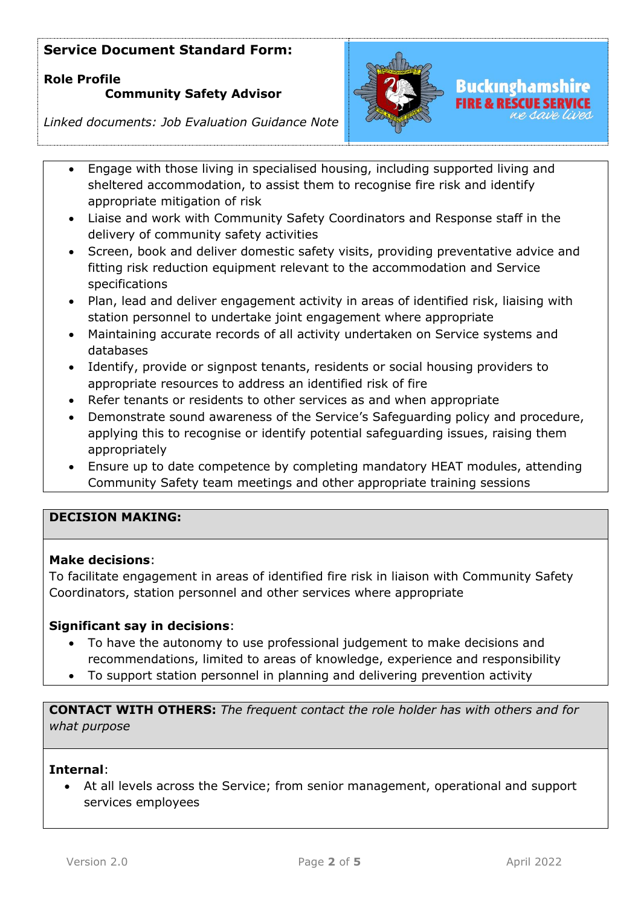# **Role Profile Community Safety Advisor**



# *Linked documents: Job Evaluation Guidance Note*

- Engage with those living in specialised housing, including supported living and sheltered accommodation, to assist them to recognise fire risk and identify appropriate mitigation of risk
- Liaise and work with Community Safety Coordinators and Response staff in the delivery of community safety activities
- Screen, book and deliver domestic safety visits, providing preventative advice and fitting risk reduction equipment relevant to the accommodation and Service specifications
- Plan, lead and deliver engagement activity in areas of identified risk, liaising with station personnel to undertake joint engagement where appropriate
- Maintaining accurate records of all activity undertaken on Service systems and databases
- Identify, provide or signpost tenants, residents or social housing providers to appropriate resources to address an identified risk of fire
- Refer tenants or residents to other services as and when appropriate
- Demonstrate sound awareness of the Service's Safeguarding policy and procedure, applying this to recognise or identify potential safeguarding issues, raising them appropriately
- Ensure up to date competence by completing mandatory HEAT modules, attending Community Safety team meetings and other appropriate training sessions

## **DECISION MAKING:**

### **Make decisions**:

To facilitate engagement in areas of identified fire risk in liaison with Community Safety Coordinators, station personnel and other services where appropriate

### **Significant say in decisions**:

- To have the autonomy to use professional judgement to make decisions and recommendations, limited to areas of knowledge, experience and responsibility
- To support station personnel in planning and delivering prevention activity

**CONTACT WITH OTHERS:** *The frequent contact the role holder has with others and for what purpose* 

#### **Internal**:

• At all levels across the Service; from senior management, operational and support services employees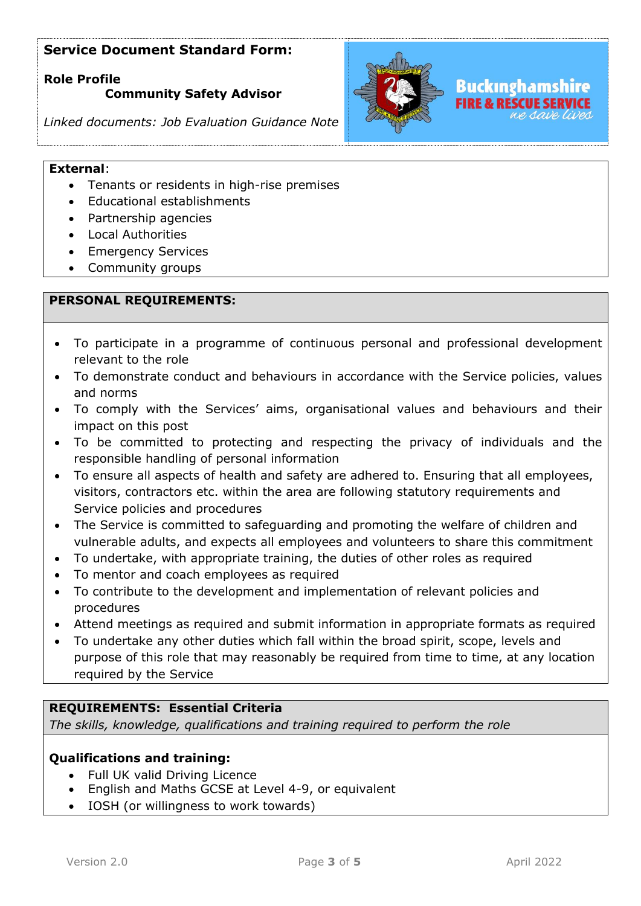**Role Profile** 

### **Community Safety Advisor**



*Linked documents: Job Evaluation Guidance Note*

#### **External**:

- Tenants or residents in high-rise premises
- Educational establishments
- Partnership agencies
- Local Authorities
- Emergency Services
- Community groups

### **PERSONAL REQUIREMENTS:**

- To participate in a programme of continuous personal and professional development relevant to the role
- To demonstrate conduct and behaviours in accordance with the Service policies, values and norms
- To comply with the Services' aims, organisational values and behaviours and their impact on this post
- To be committed to protecting and respecting the privacy of individuals and the responsible handling of personal information
- To ensure all aspects of health and safety are adhered to. Ensuring that all employees, visitors, contractors etc. within the area are following statutory requirements and Service policies and procedures
- The Service is committed to safeguarding and promoting the welfare of children and vulnerable adults, and expects all employees and volunteers to share this commitment
- To undertake, with appropriate training, the duties of other roles as required
- To mentor and coach employees as required
- To contribute to the development and implementation of relevant policies and procedures
- Attend meetings as required and submit information in appropriate formats as required
- To undertake any other duties which fall within the broad spirit, scope, levels and purpose of this role that may reasonably be required from time to time, at any location required by the Service

#### **REQUIREMENTS: Essential Criteria**

*The skills, knowledge, qualifications and training required to perform the role*

### **Qualifications and training:**

- Full UK valid Driving Licence
- English and Maths GCSE at Level 4-9, or equivalent
- IOSH (or willingness to work towards)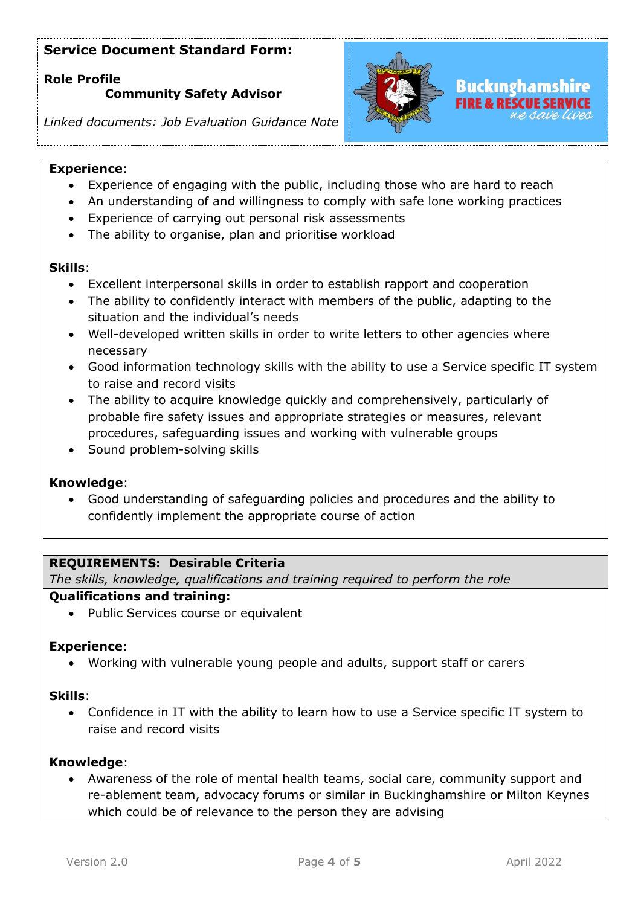### **Role Profile**

### **Community Safety Advisor**



### *Linked documents: Job Evaluation Guidance Note*

### **Experience**:

- Experience of engaging with the public, including those who are hard to reach
- An understanding of and willingness to comply with safe lone working practices
- Experience of carrying out personal risk assessments
- The ability to organise, plan and prioritise workload

### **Skills**:

- Excellent interpersonal skills in order to establish rapport and cooperation
- The ability to confidently interact with members of the public, adapting to the situation and the individual's needs
- Well-developed written skills in order to write letters to other agencies where necessary
- Good information technology skills with the ability to use a Service specific IT system to raise and record visits
- The ability to acquire knowledge quickly and comprehensively, particularly of probable fire safety issues and appropriate strategies or measures, relevant procedures, safeguarding issues and working with vulnerable groups
- Sound problem-solving skills

### **Knowledge**:

• Good understanding of safeguarding policies and procedures and the ability to confidently implement the appropriate course of action

### **REQUIREMENTS: Desirable Criteria**

*The skills, knowledge, qualifications and training required to perform the role*

### **Qualifications and training:**

• Public Services course or equivalent

#### **Experience**:

• Working with vulnerable young people and adults, support staff or carers

#### **Skills**:

• Confidence in IT with the ability to learn how to use a Service specific IT system to raise and record visits

#### **Knowledge**:

• Awareness of the role of mental health teams, social care, community support and re-ablement team, advocacy forums or similar in Buckinghamshire or Milton Keynes which could be of relevance to the person they are advising